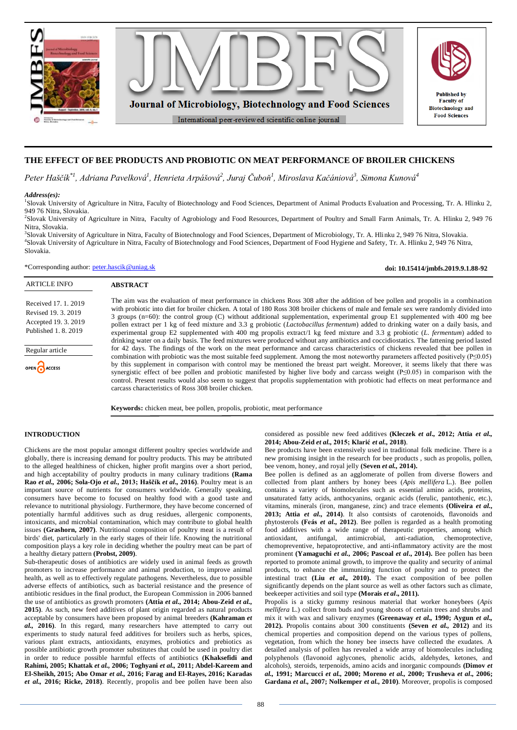

# **THE EFFECT OF BEE PRODUCTS AND PROBIOTIC ON MEAT PERFORMANCE OF BROILER CHICKENS**

*Peter Haščík\*1, Adriana Pavelková<sup>1</sup> , Henrieta Arpášová<sup>2</sup> , Juraj Čuboň<sup>1</sup> , Miroslava Kačániová<sup>3</sup> , Simona Kunová<sup>4</sup>*

#### *Address(es):*

ARTICLE INFO

Regular article

OPEN CACCESS

Received 17. 1. 2019 Revised 19. 3. 2019 Accepted 19. 3. 2019 Published 1. 8. 2019

<sup>1</sup>Slovak University of Agriculture in Nitra, Faculty of Biotechnology and Food Sciences, Department of Animal Products Evaluation and Processing, Tr. A. Hlinku 2, 949 76 Nitra, Slovakia.

2 Slovak University of Agriculture in Nitra, Faculty of Agrobiology and Food Resources, Department of Poultry and Small Farm Animals, Tr. A. Hlinku 2, 949 76 Nitra, Slovakia.

3 Slovak University of Agriculture in Nitra, Faculty of Biotechnology and Food Sciences, Department of Microbiology, Tr. A. Hlinku 2, 949 76 Nitra, Slovakia. 4 Slovak University of Agriculture in Nitra, Faculty of Biotechnology and Food Sciences, Department of Food Hygiene and Safety, Tr. A. Hlinku 2, 949 76 Nitra, Slovakia.

\*Corresponding author: [peter.hascik@uniag.sk](mailto:peter.hascik@uniag.sk)

**ABSTRACT**

The aim was the evaluation of meat performance in chickens Ross 308 after the addition of bee pollen and propolis in a combination with probiotic into diet for broiler chicken. A total of 180 Ross 308 broiler chickens of male and female sex were randomly divided into 3 groups (n=60): the control group (C) without additional supplementation, experimental group E1 supplemented with 400 mg bee pollen extract per 1 kg of feed mixture and 3.3 g probiotic (*Lactobacillus fermentum*) added to drinking water on a daily basis, and experimental group E2 supplemented with 400 mg propolis extract/1 kg feed mixture and 3.3 g probiotic (*L. fermentum*) added to drinking water on a daily basis. The feed mixtures were produced without any antibiotics and coccidiostatics. The fattening period lasted for 42 days. The findings of the work on the meat performance and carcass characteristics of chickens revealed that bee pollen in combination with probiotic was the most suitable feed supplement. Among the most noteworthy parameters affected positively (P≤0.05) by this supplement in comparison with control may be mentioned the breast part weight. Moreover, it seems likely that there was synergistic effect of bee pollen and probiotic manifested by higher live body and carcass weight (P≤0.05) in comparison with the control. Present results would also seem to suggest that propolis supplementation with probiotic had effects on meat performance and carcass characteristics of Ross 308 broiler chicken.

**Keywords:** chicken meat, bee pollen, propolis, probiotic, meat performance

# **INTRODUCTION**

Chickens are the most popular amongst different poultry species worldwide and globally, there is increasing demand for poultry products. This may be attributed to the alleged healthiness of chicken, higher profit margins over a short period, and high acceptability of poultry products in many culinary traditions **(Rama Rao** *et al.,* **2006; Sola-Ojo** *et al.,* **2013; Haščík** *et al.,* **2016)**. Poultry meat is an important source of nutrients for consumers worldwide. Generally speaking, consumers have become to focused on healthy food with a good taste and relevance to nutritional physiology. Furthermore, they have become concerned of potentially harmful additives such as drug residues, allergenic components, intoxicants, and microbial contamination, which may contribute to global health issues **(Grashorn, 2007)**. Nutritional composition of poultry meat is a result of birds' diet, particularly in the early stages of their life. Knowing the nutritional composition plays a key role in deciding whether the poultry meat can be part of a healthy dietary pattern **(Probst, 2009)**.

Sub-therapeutic doses of antibiotics are widely used in animal feeds as growth promoters to increase performance and animal production, to improve animal health, as well as to effectively regulate pathogens. Nevertheless, due to possible adverse effects of antibiotics, such as bacterial resistance and the presence of antibiotic residues in the final product, the European Commission in 2006 banned the use of antibiotics as growth promoters **(Attia** *et al.,* **2014; Abou-Zeid** *et al.,* **2015)**. As such, new feed additives of plant origin regarded as natural products acceptable by consumers have been proposed by animal breeders **(Kahraman** *et al.,* **2016)**. In this regard, many researchers have attempted to carry out experiments to study natural feed additives for broilers such as herbs, spices, various plant extracts, antioxidants, enzymes, probiotics and prebiotics as possible antibiotic growth promoter substitutes that could be used in poultry diet in order to reduce possible harmful effects of antibiotics **(Khaksefidi and Rahimi, 2005; Khattak** *et al.,* **2006; Toghyani** *et al.,* **2011; Abdel-Kareem and El-Sheikh, 2015; Abo Omar** *et al.,* **2016; Farag and El-Rayes, 2016; Karadas**  *et al.,* **2016; Ricke, 2018)**. Recently, propolis and bee pollen have been also

considered as possible new feed additives **(Kleczek** *et al.,* **2012; Attia** *et al.,* **2014; Abou-Zeid** *et al.,* **2015; Klarić** *et al.,* **2018)**.

**doi: 10.15414/jmbfs.2019.9.1.88-92**

Bee products have been extensively used in traditional folk medicine. There is a new promising insight in the research for bee products , such as propolis, pollen, bee venom, honey, and royal jelly **(Seven** *et al.,* **2014).** 

Bee pollen is defined as an agglomerate of pollen from diverse flowers and collected from plant anthers by honey bees (*Apis mellifera* L.). Bee pollen contains a variety of biomolecules such as essential amino acids, proteins, unsaturated fatty acids, anthocyanins, organic acids (ferulic, pantothenic, etc.), vitamins, minerals (iron, manganese, zinc) and trace elements **(Oliveira** *et al.***, 2013; Attia** *et al***., 2014)**. It also contsists of carotenoids, flavonoids and phytosterols **(Feás** *et al***., 2012)**. Bee pollen is regarded as a health promoting food additives with a wide range of therapeutic properties, among which antioxidant, antifungal, antimicrobial, anti-radiation, chemoprotective, chemopreventive, hepatoprotective, and anti-inflammatory activity are the most prominent **(Yamaguchi** *et al.***, 2006; Pascoal** *et al***., 2014).** Bee pollen has been reported to promote animal growth, to improve the quality and security of animal products, to enhance the immunizing function of poultry and to protect the intestinal tract **(Liu** *et al.,* **2010).** The exact composition of bee pollen significantly depends on the plant source as well as other factors such as climate, beekeeper activities and soil type **(Morais** *et al***., 2011).** 

Propolis is a sticky gummy resinous material that worker honeybees (*Apis mellifera* L.) collect from buds and young shoots of certain trees and shrubs and mix it with wax and salivary enzymes **(Greenaway** *et al.,* **1990; Aygun** *et al.,* **2012).** Propolis contains about 300 constituents **(Seven** *et al.,* **2012)** and its chemical properties and composition depend on the various types of pollens, vegetation, from which the honey bee insects have collected the exudates. A detailed analysis of pollen has revealed a wide array of biomolecules including polyphenols (flavonoid aglycones, phenolic acids, aldehydes, ketones, and alcohols), steroids, terpenoids, amino acids and inorganic compounds **(Dimov** *et al.,* **1991; Marcucci** *et al.,* **2000; Moreno** *et al.,* **2000; Trusheva** *et al***., 2006; Gardana** *et al.,* **2007; Nolkemper** *et al.,* **2010)**. Moreover, propolis is composed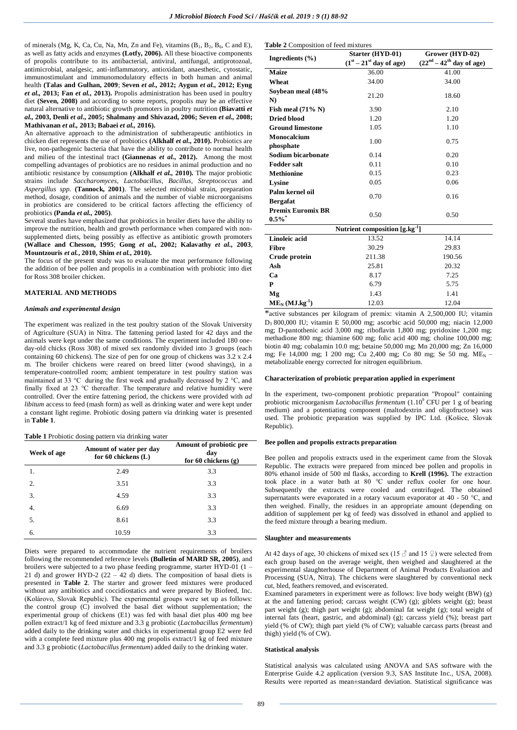of minerals (Mg, K, Ca, Cu, Na, Mn, Zn and Fe), vitamins  $(B_1, B_2, B_6, C \text{ and } E)$ , as well as fatty acids and enzymes **(Lotfy, 2006).** All these bioactive components of propolis contribute to its antibacterial, antiviral, antifungal, antiprotozoal, antimicrobial, analgesic, anti-inflammatory, antioxidant, anaesthetic, cytostatic, immunostimulant and immunomodulatory effects in both human and animal health **(Talas and Gulhan, 2009**; **Seven** *et al.,* **2012; Aygun** *et al.,* **2012; Eyng**  *et al.,* **2013; Fan** *et al.,* **2013).** Propolis administration has been used in poultry diet **(Seven, 2008)** and according to some reports, propolis may be an effective natural alternative to antibiotic growth promoters in poultry nutrition **(Biavatti** *et al.,* **2003, Denli** *et al***., 2005; Shalmany and Shivazad, 2006; Seven** *et al.,* **2008; Mathivanan** *et al.,* **2013; Babaei** *et al.,* **2016).**

An alternative approach to the administration of subtherapeutic antibiotics in chicken diet represents the use of probiotics **(Alkhalf** *et al.,* **2010).** Probiotics are live, non-pathogenic bacteria that have the ability to contribute to normal health and milieu of the intestinal tract **(Giannenas** *et al.,* **2012).** Among the most compelling advantages of probiotics are no residues in animal production and no antibiotic resistance by consumption **(Alkhalf** *et al.,* **2010).** The major probiotic strains include *Saccharomyces*, *Lactobacillus*, *Bacillus*, *Streptococcus* and *Aspergillus spp.* **(Tannock, 2001)**. The selected microbial strain, preparation method, dosage, condition of animals and the number of viable microorganisms in probiotics are considered to be critical factors affecting the efficiency of probiotics **(Panda** *et al.,* **2005)**.

Several studies have emphasized that probiotics in broiler diets have the ability to improve the nutrition, health and growth performance when compared with nonsupplemented diets, being possibly as effective as antibiotic growth promoters **(Wallace and Chesson, 1995**; **Gong** *et al.,* **2002; Kalavathy** *et al.,* **2003**, **Mountzouris** *et al.***, 2010, Shim** *et al.,* **2010).**

The focus of the present study was to evaluate the meat performance following the addition of bee pollen and propolis in a combination with probiotic into diet for Ross 308 broiler chicken.

## **MATERIAL AND METHODS**

## *Animals and experimental design*

The experiment was realized in the test poultry station of the Slovak University of Agriculture (SUA) in Nitra. The fattening period lasted for 42 days and the animals were kept under the same conditions. The experiment included 180 oneday-old chicks (Ross 308) of mixed sex randomly divided into 3 groups (each containing 60 chickens). The size of pen for one group of chickens was 3.2 x 2.4 m. The broiler chickens were reared on breed litter (wood shavings), in a temperature-controlled room; ambient temperature in test poultry station was maintained at 33 °C during the first week and gradually decreased by 2 °C, and finally fixed at 23 °C thereafter. The temperature and relative humidity were controlled. Over the entire fattening period, the chickens were provided with *ad libitum* access to feed (mash form) as well as drinking water and were kept under a constant light regime. Probiotic dosing pattern via drinking water is presented in **Table 1**.

## **Table 1** Probiotic dosing pattern via drinking water

| Week of age | Amount of water per day<br>for 60 chickens $(L)$ | Amount of probiotic pre<br>dav<br>for 60 chickens $(g)$ |
|-------------|--------------------------------------------------|---------------------------------------------------------|
| 1.          | 2.49                                             | 3.3                                                     |
| 2.          | 3.51                                             | 3.3                                                     |
| 3.          | 4.59                                             | 3.3                                                     |
| 4.          | 6.69                                             | 3.3                                                     |
| 5.          | 8.61                                             | 3.3                                                     |
| 6.          | 10.59                                            | 3.3                                                     |

Diets were prepared to accommodate the nutrient requirements of broilers following the recommended reference levels **(Bulletin of MARD SR, 2005)**, and broilers were subjected to a two phase feeding programme, starter HYD-01 (1 – 21 d) and grower HYD-2 (22 – 42 d) diets. The composition of basal diets is presented in **Table 2**. The starter and grower feed mixtures were produced without any antibiotics and coccidiostatics and were prepared by Biofeed, Inc. (Kolárovo, Slovak Republic). The experimental groups were set up as follows: the control group (C) involved the basal diet without supplementation; the experimental group of chickens (E1) was fed with basal diet plus 400 mg bee pollen extract/1 kg of feed mixture and 3.3 g probiotic (*Lactobacillus fermentum*) added daily to the drinking water and chicks in experimental group E2 were fed with a complete feed mixture plus 400 mg propolis extract/1 kg of feed mixture and 3.3 g probiotic (*Lactobacillus fermentum*) added daily to the drinking water.

#### **Table 2** Composition of feed mixture

| <b>THE 2</b> COMPOSITION OF JEED MIXILIES  | Starter (HYD-01)          | Grower (HYD-02)            |  |  |  |
|--------------------------------------------|---------------------------|----------------------------|--|--|--|
| Ingredients $(\% )$                        | $(1st - 21st$ day of age) | $(22nd – 42th day of age)$ |  |  |  |
| <b>Maize</b>                               | 36.00                     | 41.00                      |  |  |  |
| Wheat                                      | 34.00                     | 34.00                      |  |  |  |
| Soybean meal (48%<br>N)                    | 21.20                     | 18.60                      |  |  |  |
| Fish meal $(71\% N)$                       | 3.90                      | 2.10                       |  |  |  |
| <b>Dried blood</b>                         | 1.20                      | 1.20                       |  |  |  |
| <b>Ground limestone</b>                    | 1.05                      | 1.10                       |  |  |  |
| Monocalcium<br>phosphate                   | 1.00                      | 0.75                       |  |  |  |
| Sodium bicarbonate                         | 0.14                      | 0.20                       |  |  |  |
| <b>Fodder salt</b>                         | 0.11                      | 0.10                       |  |  |  |
| <b>Methionine</b>                          | 0.15                      | 0.23                       |  |  |  |
| Lysine                                     | 0.05                      | 0.06                       |  |  |  |
| Palm kernel oil<br><b>Bergafat</b>         | 0.70                      | 0.16                       |  |  |  |
| <b>Premix Euromix BR</b><br>$0.5\%$        | 0.50                      | 0.50                       |  |  |  |
| Nutrient composition [g.kg <sup>-1</sup> ] |                           |                            |  |  |  |
| Linoleic acid                              | 13.52                     | 14.14                      |  |  |  |
| <b>Fibre</b>                               | 30.29                     | 29.83                      |  |  |  |
| Crude protein                              | 211.38                    | 190.56                     |  |  |  |
| Ash                                        | 25.81                     | 20.32                      |  |  |  |
| Ca                                         | 8.17                      | 7.25                       |  |  |  |
| P                                          | 6.79                      | 5.75                       |  |  |  |
| Mg                                         | 1.43                      | 1.41                       |  |  |  |
| $ME_N (MJ.kg^{-1})$                        | 12.03                     | 12.04                      |  |  |  |

\*active substances per kilogram of premix: vitamin A 2,500,000 IU; vitamin D<sup>3</sup> 800,000 IU; vitamin E 50,000 mg; ascorbic acid 50,000 mg; niacin 12,000 mg; D-pantothenic acid 3,000 mg; riboflavin 1,800 mg; pyridoxine 1,200 mg; methadione 800 mg; thiamine 600 mg; folic acid 400 mg; choline 100,000 mg; biotin 40 mg; cobalamin 10.0 mg; betaine 50,000 mg; Mn 20,000 mg; Zn 16,000 mg; Fe 14,000 mg; I 200 mg; Cu 2,400 mg; Co 80 mg; Se 50 mg. ME<sup>N</sup> – metabolizable energy corrected for nitrogen equilibrium.

#### **Characterization of probiotic preparation applied in experiment**

In the experiment, two-component probiotic preparation "Propoul" containing probiotic microorganism *Lactobacillus fermentum* (1.10<sup>9</sup> CFU per 1 g of bearing medium) and a potentiating component (maltodextrin and oligofructose) was used. The probiotic preparation was supplied by IPC Ltd. (Košice, Slovak Republic).

## **Bee pollen and propolis extracts preparation**

Bee pollen and propolis extracts used in the experiment came from the Slovak Republic. The extracts were prepared from minced bee pollen and propolis in 80% ethanol inside of 500 ml flasks, according to **Krell (1996).** The extraction took place in a water bath at 80 °C under reflux cooler for one hour. Subsequently the extracts were cooled and centrifuged. The obtained supernatants were evaporated in a rotary vacuum evaporator at 40 - 50 °C, and then weighed. Finally, the residues in an appropriate amount (depending on addition of supplement per kg of feed) was dissolved in ethanol and applied to the feed mixture through a bearing medium.

#### **Slaughter and measurements**

At 42 days of age, 30 chickens of mixed sex (15  $\circ$  and 15  $\circ$ ) were selected from each group based on the average weight, then weighed and slaughtered at the experimental slaughterhouse of Department of Animal Products Evaluation and Processing (SUA, Nitra). The chickens were slaughtered by conventional neck cut, bled, feathers removed, and eviscerated.

Examined parameters in experiment were as follows: live body weight (BW) (g) at the and fattening period; carcass weight (CW) (g); giblets weight (g); beast part weight (g); thigh part weight (g); abdominal fat weight (g); total weight of internal fats (heart, gastric, and abdominal) (g); carcass yield (%); breast part yield (% of CW); thigh part yield (% of CW); valuable carcass parts (breast and thigh) yield (% of CW).

## **Statistical analysis**

Statistical analysis was calculated using ANOVA and SAS software with the Enterprise Guide 4.2 application (version 9.3, SAS Institute Inc., USA, 2008). Results were reported as mean±standard deviation. Statistical significance was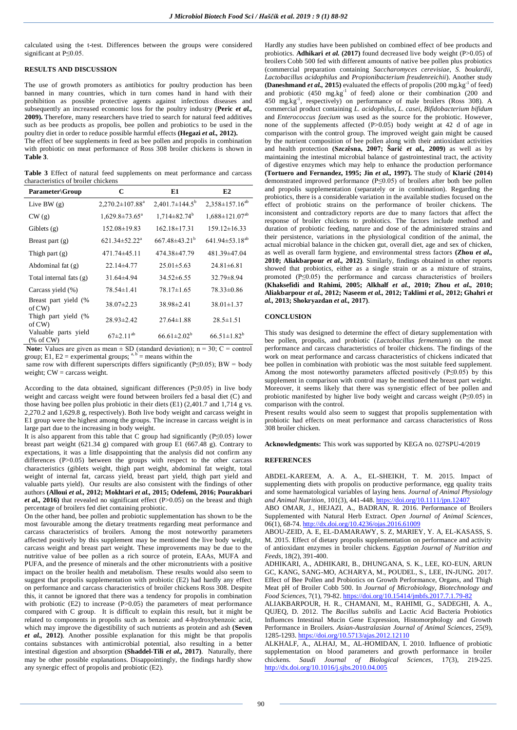calculated using the t-test. Differences between the groups were considered significant at P≤0.05.

# **RESULTS AND DISCUSSION**

The use of growth promoters as antibiotics for poultry production has been banned in many countries, which in turn comes hand in hand with their prohibition as possible protective agents against infectious diseases and subsequently an increased economic loss for the poultry industry (**Peric** *et al.,* **2009).** Therefore, many researchers have tried to search for natural feed additives such as bee products as propolis, bee pollen and probiotics to be used in the poultry diet in order to reduce possible harmful effects **(Hegazi** *et al.,* **2012).** 

The effect of bee supplements in feed as bee pollen and propolis in combination with probiotic on meat performance of Ross 308 broiler chickens is shown in **Table 3**.

**Table 3** Effect of natural feed supplements on meat performance and carcass characteristics of broiler chickens

| <b>Parameter\Group</b>               | C                              | E1                           | E2                      |
|--------------------------------------|--------------------------------|------------------------------|-------------------------|
| Live BW $(g)$                        | $2,270.2 \pm 107.88^a$         | $2,401.7\pm144.5^{\circ}$    | $2,358 \pm 157.16^{ab}$ |
| CW(g)                                | $1,629.8 \pm 73.65^{\text{a}}$ | $1,714\pm82.74^{\mathrm{b}}$ | $1,688 \pm 121.07^{ab}$ |
| Giblets $(g)$                        | $152.08 \pm 19.83$             | $162.18 \pm 17.31$           | $159.12 \pm 16.33$      |
| Breast part $(g)$                    | $621.34 \pm 52.22^{\text{a}}$  | $667.48 + 43.21^b$           | $641.94 \pm 53.18^{ab}$ |
| Thigh part $(g)$                     | 471.74±45.11                   | 474.38±47.79                 | 481.39±47.04            |
| Abdominal fat $(g)$                  | 22.14±4.77                     | $25.01 \pm 5.63$             | $24.81 \pm 6.81$        |
| Total internal fats (g)              | $31.64\pm4.94$                 | $34.52\pm 6.55$              | $32.79 \pm 8.94$        |
| Carcass yield (%)                    | $78.54 \pm 1.41$               | $78.17 \pm 1.65$             | 78.33±0.86              |
| Breast part yield (%<br>of $CW$      | $38.07 \pm 2.23$               | $38.98 \pm 2.41$             | $38.01 \pm 1.37$        |
| Thigh part yield (%<br>of $CW$       | $28.93 \pm 2.42$               | $27.64 \pm 1.88$             | $28.5 \pm 1.51$         |
| Valuable parts yield<br>(% of $CW$ ) | $67 \pm 2.11^{ab}$             | $66.61 \pm 2.02^b$           | $66.51 \pm 1.82^b$      |

**Note:** Values are given as mean  $\pm$  SD (standard deviation); n = 30; C = control group; E1, E2 = experimental groups;  $a, b$  = means within the

same row with different superscripts differs significantly (P≤0.05); BW = body weight; CW = carcass weight.

According to the data obtained, significant differences (P≤0.05) in live body weight and carcass weight were found between broilers fed a basal diet (C) and those having bee pollen plus probiotic in their diets  $(E1)$  (2,401.7 and 1,714 g vs. 2,270.2 and 1,629.8 g, respectively). Both live body weight and carcass weight in E1 group were the highest among the groups. The increase in carcass weight is in large part due to the increasing in body weight.

It is also apparent from this table that C group had significantly (P≤0.05) lower breast part weight (621.34 g) compared with group E1 (667.48 g). Contrary to expectations, it was a little disappointing that the analysis did not confirm any differences (P>0.05) between the groups with respect to the other carcass characteristics (giblets weight, thigh part weight, abdominal fat weight, total weight of internal fat, carcass yield, breast part yield, thigh part yield and valuable parts yield). Our results are also consistent with the findings of other authors **(Alloui** *et al.,* **2012; Mokhtari** *et al.,* **2015; Odefemi, 2016; Pourakbari**  *et al.*, 2016) that revealed no significant effect (P>0.05) on the breast and thigh percentage of broilers fed diet containing probiotic.

On the other hand, bee pollen and probiotic supplementation has shown to be the most favourable among the dietary treatments regarding meat performance and carcass characteristics of broilers. Among the most noteworthy parameters affected positively by this supplement may be mentioned the live body weight, carcass weight and breast part weight. These improvements may be due to the nutritive value of bee pollen as a rich source of protein, EAAs, MUFA and PUFA, and the presence of minerals and the other micronutrients with a positive impact on the broiler health and metabolism. These results would also seem to suggest that propolis supplementation with probiotic (E2) had hardly any effect on performance and carcass characteristics of broiler chickens Ross 308. Despite this, it cannot be ignored that there was a tendency for propolis in combination with probiotic  $(E2)$  to increase  $(P>0.05)$  the parameters of meat performance compared with C group. It is difficult to explain this result, but it might be related to components in propolis such as benzoic and 4-hydroxybenzoic acid, which may improve the digestibility of such nutrients as protein and ash **(Seven** *et al.,* **2012)**. Another possible explanation for this might be that propolis contains substances with antimicrobial potential, also resulting in a better intestinal digestion and absorption **(Shaddel-Tili** *et al.,* **2017)**. Naturally, there may be other possible explanations. Disappointingly, the findings hardly show any synergic effect of propolis and probiotic (E2).

Hardly any studies have been published on combined effect of bee products and probiotics. **Adhikari** *et al.* (2017) found decreased live body weight (P>0.05) of broilers Cobb 500 fed with different amounts of native bee pollen plus probiotics (commercial preparation containing *Saccharomyces cerevisiae*, *S. boulardii*, *Lactobacillus acidophilus* and *Propionibacterium freudenreichii*). Another study **(Daneshmand** *et al.***, 2015)** evaluated the effects of propolis (200 mg.kg<sup>-1</sup> of feed) and probiotic  $(450 \text{ mg} \cdot \text{kg}^{-1})$  of feed) alone or their combination  $(200 \text{ and }$ 450 mg.kg-1 , respectively) on performance of male broilers (Ross 308). A commercial product containing *L. acidophilus*, *L. casei*, *Bifidobacterium bifidum* and *Enterococcus faecium* was used as the source for the probiotic. However, none of the supplements affected (P>0.05) body weight at 42 d of age in comparison with the control group. The improved weight gain might be caused by the nutrient composition of bee pollen along with their antioxidant activities and health protection **(Szczêsna, 2007; Šarić** *et al.,* **2009)** as well as by maintaining the intestinal microbial balance of gastrointestinal tract, the activity of digestive enzymes which may help to enhance the production performance **(Tortuero and Fernandez, 1995; Jin** *et al.,* **1997).** The study of **Klarić (2014)** demonstrated improved performance (P≤0.05) of broilers after both bee pollen and propolis supplementation (separately or in combination). Regarding the probiotics, there is a considerable variation in the available studies focused on the effect of probiotic strains on the performance of broiler chickens. The inconsistent and contradictory reports are due to many factors that affect the response of broiler chickens to probiotics. The factors include method and duration of probiotic feeding, nature and dose of the administered strains and their persistence, variations in the physiological condition of the animal, the actual microbial balance in the chicken gut, overall diet, age and sex of chicken, as well as overall farm hygiene, and environmental stress factors **(Zhou** *et al.,* **2010; Aliakbarpour** *et al.,* **2012)**. Similarly, findings obtained in other reports showed that probiotics, either as a single strain or as a mixture of strains, promoted (P≤0.05) the performance and carcass characteristics of broilers **(Khaksefidi and Rahimi, 2005; Alkhalf** *et al.,* **2010; Zhou** *et al.,* **2010; Aliakbarpour** *et al.,* **2012; Naseem** *et al.,* **2012; Taklimi** *et al.,* **2012; Ghahri** *et al.,* **2013; Shokryazdan** *et al.,* **2017)**.

## **CONCLUSION**

This study was designed to determine the effect of dietary supplementation with bee pollen, propolis, and probiotic (*Lactobacillus fermentum*) on the meat performance and carcass characteristics of broiler chickens. The findings of the work on meat performance and carcass characteristics of chickens indicated that bee pollen in combination with probiotic was the most suitable feed supplement. Among the most noteworthy parameters affected positively  $(P \le 0.05)$  by this supplement in comparison with control may be mentioned the breast part weight. Moreover, it seems likely that there was synergistic effect of bee pollen and probiotic manifested by higher live body weight and carcass weight (P≤0.05) in comparison with the control.

Present results would also seem to suggest that propolis supplementation with probiotic had effects on meat performance and carcass characteristics of Ross 308 broiler chicken.

**Acknowledgments:** This work was supported by KEGA no. 027SPU-4/2019

## **REFERENCES**

ABDEL-KAREEM, A. A. A., EL-SHEIKH, T. M. 2015. Impact of supplementing diets with propolis on productive performance, egg quality traits and some haematological variables of laying hens. *Journal of Animal Physiology and Animal Nutrition*, 101(3), 441-448[. https://doi.org/10.1111/jpn.12407](https://doi.org/10.1111/jpn.12407) 

ABO OMAR, J., HEJAZI, A., BADRAN, R. 2016. Performance of Broilers Supplemented with Natural Herb Extract. *Open Journal of Animal Sciences*, 06(1), 68-74[. http://dx.doi.org/10.4236/ojas.2016.61009](http://dx.doi.org/10.4236/ojas.2016.61009)

ABOU-ZEID, A. E, EL-DAMARAWY, S. Z, MARIEY, Y. A, EL-KASASS, S. M. 2015. Effect of dietary propolis supplementation on performance and activity of antioxidant enzymes in broiler chickens. *Egyptian Journal of Nutrition and Feeds*, 18(2), 391-400.

ADHIKARI, A., ADHIKARI, B., DHUNGANA, S. K., LEE, KO-EUN, ARUN GC, KANG, SANG-MO, ACHARYA, M., POUDEL, S., LEE, IN-JUNG*.* 2017. Effect of Bee Pollen and Probiotics on Growth Performance, Organs, and Thigh Meat pH of Broiler Cobb 500. In *Journal of Microbiology, Biotechnology and Food Sciences*, 7(1), 79-82[. https://doi.org/10.15414/jmbfs.2017.7.1.79-82](https://doi.org/10.15414/jmbfs.2017.7.1.79-82)

ALIAKBARPOUR, H. R., CHAMANI, M., RAHIMI, G., SADEGHI, A. A., QUJEQ, D. 2012. The *Bacillus subtilis* and Lactic Acid Bacteria Probiotics Influences Intestinal Mucin Gene Expression, Histomorphology and Growth Performance in Broilers. *Asian-Australasian Journal of Animal Sciences*, 25(9), 1285-1293[. https://doi.org/10.5713/ajas.2012.12110](https://doi.org/10.5713/ajas.2012.12110)

ALKHALF, A., ALHAJ, M., AL-HOMIDAN, I. 2010. Influence of probiotic supplementation on blood parameters and growth performance in broiler chickens. *Saudi Journal of Biological Sciences*, 17(3), 219-225. <http://dx.doi.org/10.1016/j.sjbs.2010.04.005>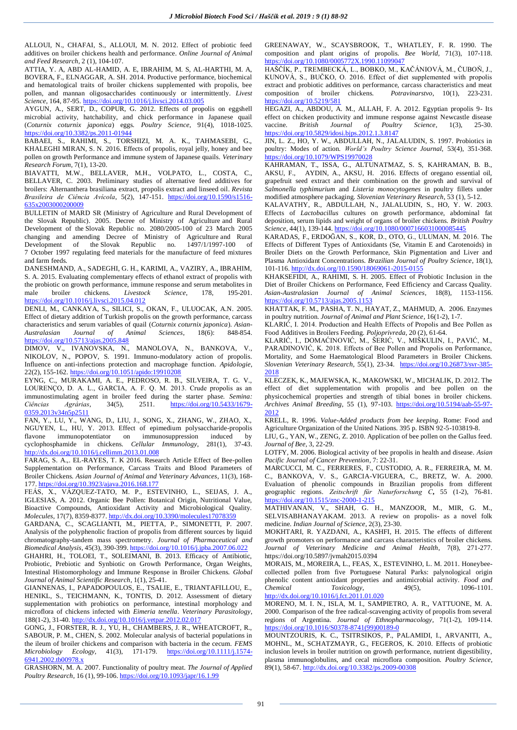ALLOUI, N., CHAFAI, S., ALLOUI, M. N. 2012. Effect of probiotic feed additives on broiler chickens health and performance. *Online Journal of Animal and Feed Research*, 2 (1), 104-107.

ATTIA, Y. A, ABD AL-HAMID, A. E, IBRAHIM, M. S, AL-HARTHI, M. A, BOVERA, F., ELNAGGAR, A. SH. 2014. Productive performance, biochemical and hematological traits of broiler chickens supplemented with propolis, bee pollen, and mannan oligosaccharides continuously or intermittently. *Livest Science*, 164, 87-95. <https://doi.org/10.1016/j.livsci.2014.03.005>

AYGUN, A., SERT, D., COPUR, G. 2012. Effects of propolis on eggshell microbial activity, hatchability, and chick performance in Japanese quail (*Coturnix coturnix japonica*) eggs. *Poultry Science*, 91(4), 1018-1025. <https://doi.org/10.3382/ps.2011-01944>

BABAEI, S., RAHIMI, S., TORSHIZI, M. A. K., TAHMASEBI, G., KHALEGHI MIRAN, S. N. 2016. Effects of propolis, royal jelly, honey and bee pollen on growth Performance and immune system of Japanese quails. *Veterinary Research Forum*, 7(1), 13-20.

BIAVATTI, M.W., BELLAVER, M.H., VOLPATO, L., COSTA, C., BELLAVER, C. 2003. Preliminary studies of alternative feed additives for broilers: Alternanthera brasiliana extract, propolis extract and linseed oil. *Revista Brasileira de Ciência Avícola*, 5(2), 147-151. [https://doi.org/10.1590/s1516-](https://doi.org/10.1590/s1516-635x2003000200009) [635x2003000200009](https://doi.org/10.1590/s1516-635x2003000200009) 

BULLETIN of MARD SR (Ministry of Agriculture and Rural Development of the Slovak Republic). 2005. Decree of Ministry of Agriculture and Rural Development of the Slovak Republic no. 2080/2005-100 of 23 March 2005 changing and amending Decree of Ministry of Agriculture and Rural Development of the Slovak Republic no. 1497/1/1997-100 of Development of the Slovak Republic no.  $1497/1/1997-100$ 7 October 1997 regulating feed materials for the manufacture of feed mixtures and farm feeds.

DANESHMAND, A., SADEGHI, G. H., KARIMI, A., VAZIRY, A., IBRAHIM, S. A. 2015. Evaluating complementary effects of ethanol extract of propolis with the probiotic on growth performance, immune response and serum metabolites in male broiler chickens. *Livestock Science*, 178, 195-201. <https://doi.org/10.1016/j.livsci.2015.04.012>

DENLI, M., CANKAYA, S., SILICI, S., OKAN, F., ULUOCAK, A.N. 2005. Effect of dietary addition of Turkish propolis on the growth performance, carcass characteristics and serum variables of quail (*Coturnix coturnix japonica*). *Asian-Australasian Journal of Animal Sciences*, 18(6): 848-854. <https://doi.org/10.5713/ajas.2005.848>

DIMOV, V., IVANOVSKA, N., MANOLOVA, N., BANKOVA, V., NIKOLOV, N., POPOV, S. 1991. Immuno-modulatory action of propolis. Influence on anti-infections protection and macrophage function. *Apidologie*, 22(2), 155-162. <https://doi.org/10.1051/apido:19910208>

EYNG, C., MURAKAMI, A. E., PEDROSO, R. B., SILVEIRA, T. G. V., LOURENÇO, D. A. L., GARCIA, A. F. Q. M. 2013. Crude propolis as an immunostimulating agent in broiler feed during the starter phase. *Semina: Ciências Agrárias*, 34(5), 2511. https://doi.org/10.5433/1679-*Ciências Agrárias*, 34(5), 2511. [https://doi.org/10.5433/1679-](https://doi.org/10.5433/1679-0359.2013v34n5p2511) 0359.2013v34n5p2511

FAN, Y., LU, Y., WANG, D., LIU, J., SONG, X., ZHANG, W., ZHAO, X., NGUYEN, L., HU, Y. 2013. Effect of epimedium polysaccharide-propolis flavone immunopotentiator on immunosuppression induced by cyclophosphamide in chickens. *Cellular Immunology*, 281(1), 37-43. <http://dx.doi.org/10.1016/j.cellimm.2013.01.008>

FARAG, S. A.,. EL-RAYES, T. K 2016. Research Article Effect of Bee-pollen Supplementation on Performance, Carcass Traits and Blood Parameters of Broiler Chickens. *Asian Journal of Animal and Veterinary Advances*, 11(3), 168- 177[. https://doi.org/10.3923/ajava.2016.168.177](https://doi.org/10.3923/ajava.2016.168.177) 

FEÁS, X., VÁZQUEZ-TATO, M. P., ESTEVINHO, L., SEIJAS, J. A., IGLESIAS, A. 2012. Organic Bee Pollen: Botanical Origin, Nutritional Value, Bioactive Compounds, Antioxidant Activity and Microbiological Quality. *Molecules*, 17(7), 8359-8377[. http://dx.doi.org/10.3390/molecules17078359](http://dx.doi.org/10.3390/molecules17078359)

GARDANA, C., SCAGLIANTI, M., PIETTA, P., SIMONETTI, P. 2007. Analysis of the polyphenolic fraction of propolis from different sources by liquid chromatography-tandem mass spectrometry. *Journal of Pharmaceutical and Biomedical Analysis*, 45(3), 390-399.<https://doi.org/10.1016/j.jpba.2007.06.022>

GHAHRI, H., TOLOEI, T., SOLEIMANI, B. 2013. Efficacy of Antibiotic, Probiotic, Prebiotic and Synbiotic on Growth Performance, Organ Weights, Intestinal Histomorphology and Immune Response in Broiler Chickens. *Global Journal of Animal Scientific Research*, 1(1), 25-41.

GIANNENAS, I., PAPADOPOULOS, E., TSALIE, E., TRIANTAFILLOU, E., HENIKL, S., TEICHMANN, K., TONTIS, D. 2012. Assessment of dietary supplementation with probiotics on performance, intestinal morphology and microflora of chickens infected with *Eimeria tenella*. *Veterinary Parasitology*, 188(1-2), 31-40.<http://dx.doi.org/10.1016/j.vetpar.2012.02.017>

GONG, J., FORSTER, R. J., YU, H., CHAMBERS, J. R., WHEATCROFT, R., SABOUR, P. M., CHEN, S. 2002. Molecular analysis of bacterial populations in the ileum of broiler chickens and comparison with bacteria in the cecum. *FEMS Microbiology Ecology,* 41(3), 171-179. [https://doi.org/10.1111/j.1574-](https://doi.org/10.1111/j.1574-6941.2002.tb00978.x) [6941.2002.tb00978.x](https://doi.org/10.1111/j.1574-6941.2002.tb00978.x)

GRASHORN, M. A. 2007. Functionality of poultry meat. *The Journal of Applied Poultry Research*, 16 (1), 99-106[. https://doi.org/10.1093/japr/16.1.99](https://doi.org/10.1093/japr/16.1.99) 

GREENAWAY, W., SCAYSBROOK, T., WHATLEY, F. R. 1990. The composition and plant origins of propolis. *Bee World,* 71(3), 107-118. <https://doi.org/10.1080/0005772X.1990.11099047>

HAŠČÍK, P., TREMBECKÁ, L., BOBKO, M., KAČÁNIOVÁ, M., ČUBOŇ, J., KUNOVÁ, S., BUČKO, O. 2016. Effect of diet supplemented with propolis extract and probiotic additives on performance, carcass characteristics and meat<br>composition of broiler chickens. *Potravinarstvo*,  $10(1)$ ,  $223-231$ . composition of broiler chickens. https://doi.org/10.5219/581

HEGAZI, A., ABDOU, A. M., ALLAH, F. A. 2012. Egyptian propolis 9- Its effect on chicken productivity and immune response against Newcastle disease vaccine. *British Journal of Poultry Science*, 1(3), 25-30. <https://doi.org/10.5829/idosi.bjps.2012.1.3.8147>

JIN, L. Z., HO, Y. W., ABDULLAH, N., JALALUDIN, S. 1997. Probiotics in poultry: Modes of action. *World's Poultry Science Journal,* 53(4), 351-368. <https://doi.org/10.1079/WPS19970028>

KAHRAMAN, T., ISSA, G., ALTUNATMAZ, S. S, KAHRAMAN, B. B., AKSU, F., AYDIN, A., AKSU, H. 2016. Effects of oregano essential oil, grapefruit seed extract and their combination on the growth and survival of *Salmonella typhimurium* and *Listeria monocytogenes* in poultry fillets under modified atmosphere packaging. *Slovenian Veterinary Research*, 53 (1), 5-12.

KALAVATHY, R., ABDULLAH, N., JALALUDIN, S., HO, Y. W. 2003. Effects of *Lactobacillus* cultures on growth performance, abdominal fat deposition, serum lipids and weight of organs of broiler chickens. *British Poultry Science*, 44(1), 139-144[. https://doi.org/10.1080/0007166031000085445](https://doi.org/10.1080/0007166031000085445) 

KARADAS, F., ERDOĞAN, S., KOR, D., OTO, G., ULUMAN, M. 2016. The Effects of Different Types of Antioxidants (Se, Vitamin E and Carotenoids) in Broiler Diets on the Growth Performance, Skin Pigmentation and Liver and Plasma Antioxidant Concentrations. *Brazilian Journal of Poultry Science*, 18(1), 101-116[. http://dx.doi.org/10.1590/18069061-2015-0155](http://dx.doi.org/10.1590/18069061-2015-0155)

KHAKSEFIDI, A., RAHIMI, S. H. 2005. Effect of Probiotic Inclusion in the Diet of Broiler Chickens on Performance, Feed Efficiency and Carcass Quality. *Asian-Australasian Journal of Animal Sciences*, 18(8), 1153-1156. <https://doi.org/10.5713/ajas.2005.1153>

KHATTAK, F. M., PASHA, T. N., HAYAT, Z., MAHMUD, A. 2006. Enzymes in poultry nutrition. *Journal of Animal and Plant Science*, 16(1-2), 1-7.

KLARIĆ, I. 2014. Production and Health Effects of Propolis and Bee Pollen as Food Additives in Broilers Feeding. *Poljoprivreda,* 20 (2), 61-64.

KLARIĆ, I., DOMAĆINOVIĆ, M., ŠERIĆ, V., MIŠKULIN, I., PAVIĆ, M., PARADINOVIĆ, K. 2018. Effects of Bee Pollen and Propolis on Performance, Mortality, and Some Haematological Blood Parameters in Broiler Chickens. *Slovenian Veterinary Research,* 55(1), 23-34. [https://doi.org/10.26873/svr-385-](https://doi.org/10.26873/svr-385-2018) [2018](https://doi.org/10.26873/svr-385-2018) 

KLECZEK, K., MAJEWSKA, K., MAKOWSKI, W., MICHALIK, D. 2012. The effect of diet supplementation with propolis and bee pollen on the physicochemical properties and strength of tibial bones in broiler chickens. *Archives Animal Breeding*, 55 (1), 97-103. [https://doi.org/10.5194/aab-55-97-](https://doi.org/10.5194/aab-55-97-2012) [2012](https://doi.org/10.5194/aab-55-97-2012) 

KRELL, R. 1996. *Value-Added products from bee keeping*. Rome: Food and Agriculture Organization of the United Nations. 395 p. ISBN 92-5-103819-8.

LIU, G., YAN, W., ZENG, Z. 2010. Application of bee pollen on the Gallus feed. *Journal of Bee*, 3, 22-29.

LOTFY, M. 2006. Biological activity of bee propolis in health and disease. *Asian Pacific Journal of Cancer Prevention*, 7: 22-31.

MARCUCCI, M. C., FERRERES, F., CUSTODIO, A. R., FERREIRA, M. M. C., BANKOVA, V. S., GARCIA-VIGUERA, C., BRETZ, W. A. 2000. Evaluation of phenolic compounds in Brazilian propolis from different geographic regions. *Zeitschrift für Naturforschung C***,** 55 (1-2), 76-81. <https://doi.org/10.1515/znc-2000-1-215>

MATHIVANAN, V., SHAH, G. H., MANZOOR, M., MIR, G. M., SELVISABHANAYAKAM. 2013. A review on propolis- as a novel folk medicine. *Indian Journal of Science*, 2(3), 23-30.

MOKHTARI, R. YAZDANI, A., KASHFI, H. 2015. The effects of different growth promoters on performance and carcass characteristics of broiler chickens. *Journal of Veterinary Medicine and Animal Health*, 7(8), 271-277. https://doi.org/10.5897/jvmah2015.0394

MORAIS, M., MOREIRA, L., FEAS, X., ESTEVINHO, L. M. 2011. Honeybeecollected pollen from five Portuguese Natural Parks: palynological origin phenolic content antioxidant properties and antimicrobial activity. *Food and Chemical Toxicology*, 49(5), 1096-1101. <http://dx.doi.org/10.1016/j.fct.2011.01.020>

MORENO, M. I. N., ISLA, M. I., SAMPIETRO, A. R., VATTUONE, M. A. 2000. Comparison of the free radical-scavenging activity of propolis from several regions of Argentina. *Journal of Ethnopharmacology*, 71(1-2), 109-114. [https://doi.org/10.1016/S0378-8741\(99\)00189-0](https://doi.org/10.1016/S0378-8741(99)00189-0)

MOUNTZOURIS, K. C., TSITRSIKOS, P., PALAMIDI, I., ARVANITI, A., MOHNL, M., SCHATZMAYR, G., FEGEROS, K. 2010. Effects of probiotic inclusion levels in broiler nutrition on growth performance, nutrient digestibility, plasma immunoglobulins, and cecal microflora composition. *Poultry Science,*  89(1), 58-67[. http://dx.doi.org/10.3382/ps.2009-00308](http://dx.doi.org/10.3382/ps.2009-00308)